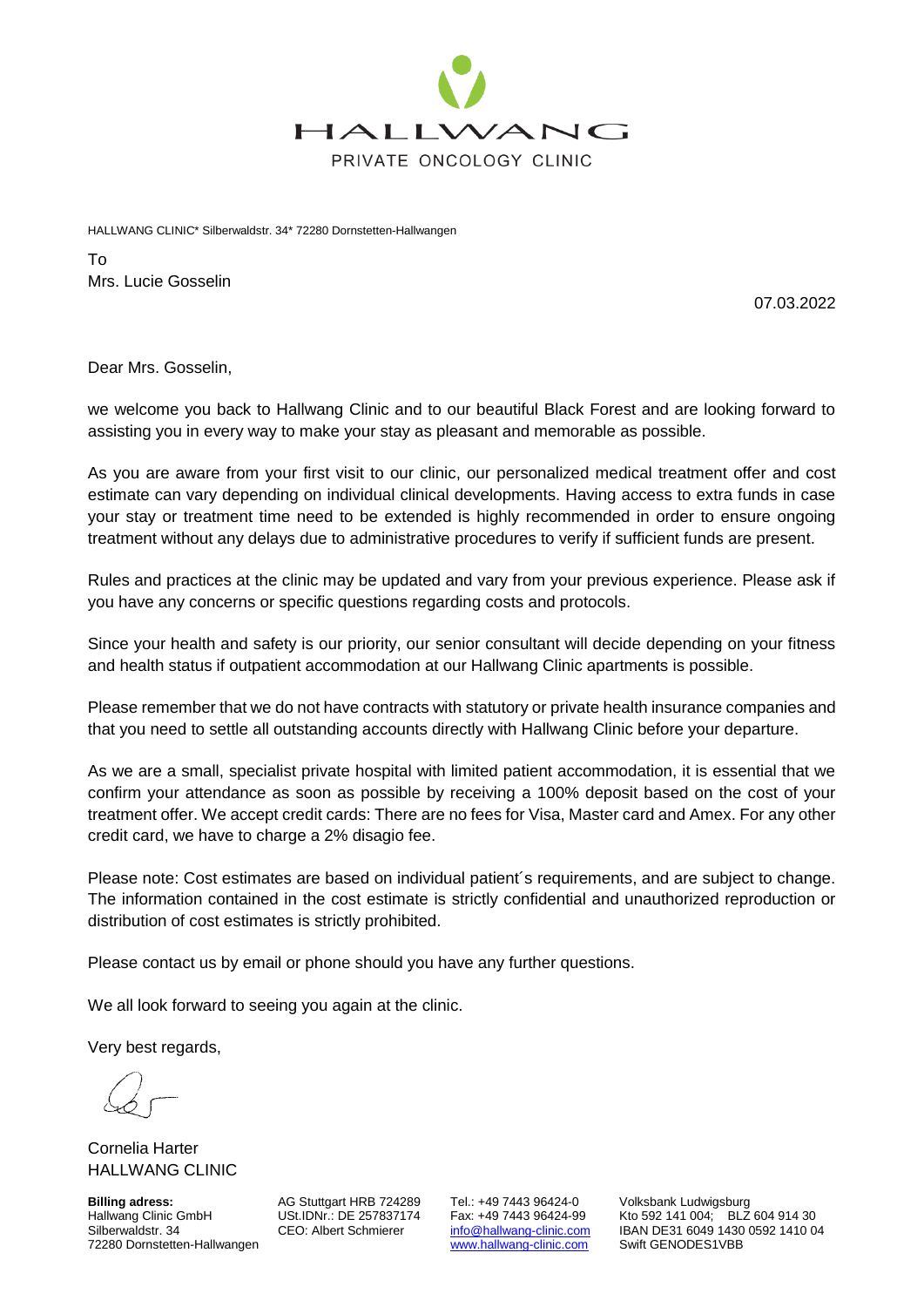

HALLWANG CLINIC\* Silberwaldstr. 34\* 72280 Dornstetten-Hallwangen

To Mrs. Lucie Gosselin

07.03.2022

Dear Mrs. Gosselin,

we welcome you back to Hallwang Clinic and to our beautiful Black Forest and are looking forward to assisting you in every way to make your stay as pleasant and memorable as possible.

As you are aware from your first visit to our clinic, our personalized medical treatment offer and cost estimate can vary depending on individual clinical developments. Having access to extra funds in case your stay or treatment time need to be extended is highly recommended in order to ensure ongoing treatment without any delays due to administrative procedures to verify if sufficient funds are present.

Rules and practices at the clinic may be updated and vary from your previous experience. Please ask if you have any concerns or specific questions regarding costs and protocols.

Since your health and safety is our priority, our senior consultant will decide depending on your fitness and health status if outpatient accommodation at our Hallwang Clinic apartments is possible.

Please remember that we do not have contracts with statutory or private health insurance companies and that you need to settle all outstanding accounts directly with Hallwang Clinic before your departure.

As we are a small, specialist private hospital with limited patient accommodation, it is essential that we confirm your attendance as soon as possible by receiving a 100% deposit based on the cost of your treatment offer. We accept credit cards: There are no fees for Visa, Master card and Amex. For any other credit card, we have to charge a 2% disagio fee.

Please note: Cost estimates are based on individual patient´s requirements, and are subject to change. The information contained in the cost estimate is strictly confidential and unauthorized reproduction or distribution of cost estimates is strictly prohibited.

Please contact us by email or phone should you have any further questions.

We all look forward to seeing you again at the clinic.

Very best regards,

Cornelia Harter HALLWANG CLINIC

**Billing adress:** AG Stuttgart HRB 724289 Tel.: +49 7443 96424-0 Volksbank Ludwigsburg<br>Hallwang Clinic GmbH USt.IDNr.: DE 257837174 Fax: +49 7443 96424-99 Kto 592 141 004; BLZ 72280 Dornstetten-Hallwangen

Hallwang Clinic GmbH USt.IDNr.: DE 257837174 Fax: +49 7443 96424-99 Kto 592 141 004; BLZ 604 914 30<br>Silberwaldstr. 34 CEO: Albert Schmierer info@hallwang-clinic.com IBAN DE31 6049 1430 0592 1410 0 [info@hallwang-clinic.com](mailto:info@hallwang-clinic.com) IBAN DE31 6049 1430 0592 1410 04<br>www.hallwang-clinic.com Swift GENODES1VBB